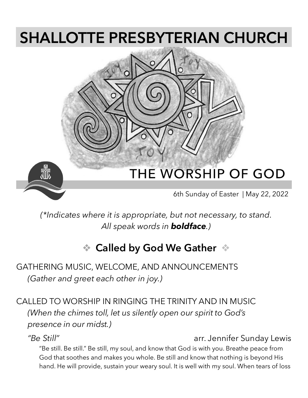# **SHALLOTTE PRESBYTERIAN CHURCH**



*(\*Indicates where it is appropriate, but not necessary, to stand. All speak words in boldface.)*

### ❖ **Called by God We Gather** ❖

### GATHERING MUSIC, WELCOME, AND ANNOUNCEMENTS *(Gather and greet each other in joy.)*

CALLED TO WORSHIP IN RINGING THE TRINITY AND IN MUSIC *(When the chimes toll, let us silently open our spirit to God's presence in our midst.)*

### *"Be Still"* arr. Jennifer Sunday Lewis

"Be still. Be still." Be still, my soul, and know that God is with you. Breathe peace from God that soothes and makes you whole. Be still and know that nothing is beyond His hand. He will provide, sustain your weary soul. It is well with my soul. When tears of loss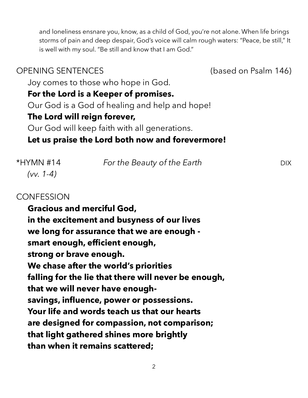and loneliness ensnare you, know, as a child of God, you're not alone. When life brings storms of pain and deep despair, God's voice will calm rough waters: "Peace, be still," It is well with my soul. "Be still and know that I am God."

### OPENING SENTENCES (based on Psalm 146) Joy comes to those who hope in God. **For the Lord is a Keeper of promises.** Our God is a God of healing and help and hope! **The Lord will reign forever,** Our God will keep faith with all generations. **Let us praise the Lord both now and forevermore!**

| *HYMN #14<br>$(vv. 1-4)$ | For the Beauty of the Earth | DIX - |
|--------------------------|-----------------------------|-------|
|                          |                             |       |

### **CONFESSION**

**Gracious and merciful God, in the excitement and busyness of our lives we long for assurance that we are enough smart enough, efficient enough, strong or brave enough. We chase after the world's priorities falling for the lie that there will never be enough, that we will never have enoughsavings, influence, power or possessions. Your life and words teach us that our hearts are designed for compassion, not comparison; that light gathered shines more brightly than when it remains scattered;** 

2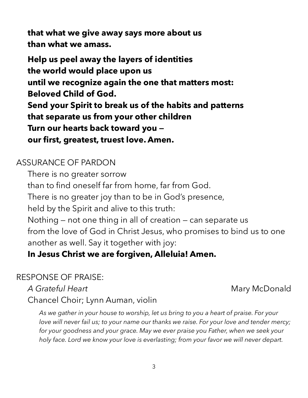**that what we give away says more about us than what we amass.** 

**Help us peel away the layers of identities the world would place upon us until we recognize again the one that matters most: Beloved Child of God. Send your Spirit to break us of the habits and patterns that separate us from your other children Turn our hearts back toward you our first, greatest, truest love. Amen.** 

### ASSURANCE OF PARDON

There is no greater sorrow than to find oneself far from home, far from God. There is no greater joy than to be in God's presence, held by the Spirit and alive to this truth: Nothing — not one thing in all of creation — can separate us from the love of God in Christ Jesus, who promises to bind us to one another as well. Say it together with joy:

### **In Jesus Christ we are forgiven, Alleluia! Amen.**

### RESPONSE OF PRAISE:

A Grateful Heart **Mary McDonald** Mary McDonald

Chancel Choir; Lynn Auman, violin

*As we gather in your house to worship, let us bring to you a heart of praise. For your love will never fail us; to your name our thanks we raise. For your love and tender mercy; for your goodness and your grace. May we ever praise you Father, when we seek your holy face. Lord we know your love is everlasting; from your favor we will never depart.*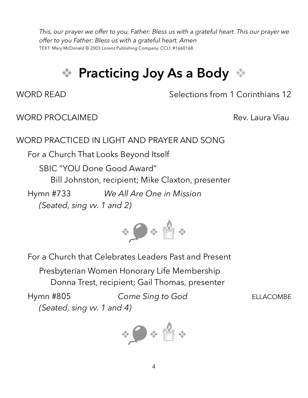*This, our prayer we offer to you, Father: Bless us with a grateful heart. This our prayer we offer to you Father: Bless us with a grateful heart. Amen*  TEXT: Mary McDonald © 2003 Lorenz Publishing Company. CCLI: #1660168

## ❖ **Practicing Joy As a Body** ❖

WORD READ Selections from 1 Corinthians 12

### WORD PROCLAIMED **Rev. Laura Viau**

### WORD PRACTICED IN LIGHT AND PRAYER AND SONG

For a Church That Looks Beyond Itself

SBIC "YOU Done Good Award"

Bill Johnston, recipient; Mike Claxton, presenter

Hymn #733 *We All Are One in Mission (Seated, sing vv. 1 and 2)*



For a Church that Celebrates Leaders Past and Present

Presbyterian Women Honorary Life Membership Donna Trest, recipient; Gail Thomas, presenter

Hymn #805 *Come Sing to God* ELLACOMBE *(Seated, sing vv. 1 and 4)*

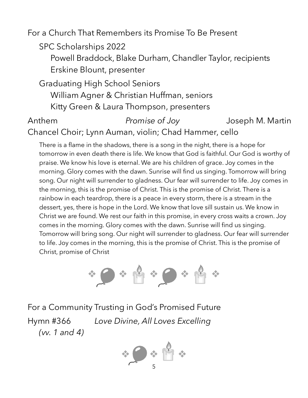For a Church That Remembers its Promise To Be Present

SPC Scholarships 2022

Powell Braddock, Blake Durham, Chandler Taylor, recipients Erskine Blount, presenter

Graduating High School Seniors William Agner & Christian Huffman, seniors Kitty Green & Laura Thompson, presenters

### Anthem *Promise of Joy* Joseph M. Martin Chancel Choir; Lynn Auman, violin; Chad Hammer, cello

There is a flame in the shadows, there is a song in the night, there is a hope for tomorrow in even death there is life. We know that God is faithful. Our God is worthy of praise. We know his love is eternal. We are his children of grace. Joy comes in the morning. Glory comes with the dawn. Sunrise will find us singing. Tomorrow will bring song. Our night will surrender to gladness. Our fear will surrender to life. Joy comes in the morning, this is the promise of Christ. This is the promise of Christ. There is a rainbow in each teardrop, there is a peace in every storm, there is a stream in the dessert, yes, there is hope in the Lord. We know that love sill sustain us. We know in Christ we are found. We rest our faith in this promise, in every cross waits a crown. Joy comes in the morning. Glory comes with the dawn. Sunrise will find us singing. Tomorrow will bring song. Our night will surrender to gladness. Our fear will surrender to life. Joy comes in the morning, this is the promise of Christ. This is the promise of Christ, promise of Christ



For a Community Trusting in God's Promised Future Hymn #366 *Love Divine, All Loves Excelling (vv. 1 and 4)*